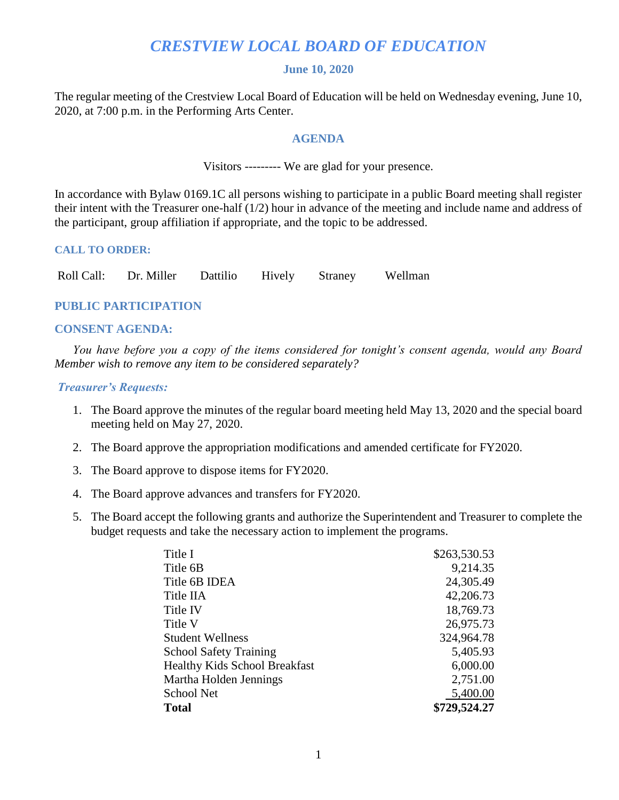# *CRESTVIEW LOCAL BOARD OF EDUCATION*

# **June 10, 2020**

The regular meeting of the Crestview Local Board of Education will be held on Wednesday evening, June 10, 2020, at 7:00 p.m. in the Performing Arts Center.

# **AGENDA**

Visitors --------- We are glad for your presence.

In accordance with Bylaw 0169.1C all persons wishing to participate in a public Board meeting shall register their intent with the Treasurer one-half (1/2) hour in advance of the meeting and include name and address of the participant, group affiliation if appropriate, and the topic to be addressed.

# **CALL TO ORDER:**

Roll Call: Dr. Miller Dattilio Hively Straney Wellman

# **PUBLIC PARTICIPATION**

# **CONSENT AGENDA:**

 *You have before you a copy of the items considered for tonight's consent agenda, would any Board Member wish to remove any item to be considered separately?*

# *Treasurer's Requests:*

- 1. The Board approve the minutes of the regular board meeting held May 13, 2020 and the special board meeting held on May 27, 2020.
- 2. The Board approve the appropriation modifications and amended certificate for FY2020.
- 3. The Board approve to dispose items for FY2020.
- 4. The Board approve advances and transfers for FY2020.
- 5. The Board accept the following grants and authorize the Superintendent and Treasurer to complete the budget requests and take the necessary action to implement the programs.

| \$729,524.27 |
|--------------|
| 5,400.00     |
| 2,751.00     |
| 6,000.00     |
| 5,405.93     |
| 324,964.78   |
| 26,975.73    |
| 18,769.73    |
| 42,206.73    |
| 24,305.49    |
| 9,214.35     |
| \$263,530.53 |
|              |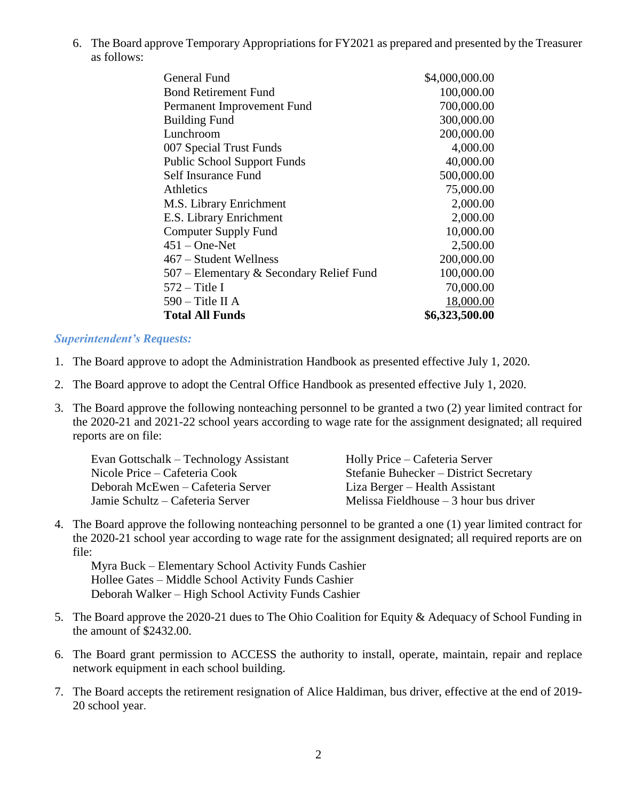6. The Board approve Temporary Appropriations for FY2021 as prepared and presented by the Treasurer as follows:

| General Fund                             | \$4,000,000.00 |
|------------------------------------------|----------------|
| <b>Bond Retirement Fund</b>              | 100,000.00     |
| Permanent Improvement Fund               | 700,000.00     |
| <b>Building Fund</b>                     | 300,000.00     |
| Lunchroom                                | 200,000.00     |
| 007 Special Trust Funds                  | 4,000.00       |
| <b>Public School Support Funds</b>       | 40,000.00      |
| Self Insurance Fund                      | 500,000.00     |
| Athletics                                | 75,000.00      |
| M.S. Library Enrichment                  | 2,000.00       |
| E.S. Library Enrichment                  | 2,000.00       |
| <b>Computer Supply Fund</b>              | 10,000.00      |
| $451 - One-Net$                          | 2,500.00       |
| 467 – Student Wellness                   | 200,000.00     |
| 507 – Elementary & Secondary Relief Fund | 100,000.00     |
| $572 -$ Title I                          | 70,000.00      |
| $590 -$ Title II A                       | 18,000.00      |
| <b>Total All Funds</b>                   | \$6,323,500.00 |
|                                          |                |

# *Superintendent's Requests:*

- 1. The Board approve to adopt the Administration Handbook as presented effective July 1, 2020.
- 2. The Board approve to adopt the Central Office Handbook as presented effective July 1, 2020.
- 3. The Board approve the following nonteaching personnel to be granted a two (2) year limited contract for the 2020-21 and 2021-22 school years according to wage rate for the assignment designated; all required reports are on file:

| Evan Gottschalk – Technology Assistant<br>Nicole Price – Cafeteria Cook | Holly Price – Cafeteria Server<br>Stefanie Buhecker – District Secretary |
|-------------------------------------------------------------------------|--------------------------------------------------------------------------|
| Deborah McEwen – Cafeteria Server                                       | Liza Berger – Health Assistant                                           |
| Jamie Schultz – Cafeteria Server                                        | Melissa Fieldhouse $-3$ hour bus driver                                  |

4. The Board approve the following nonteaching personnel to be granted a one (1) year limited contract for the 2020-21 school year according to wage rate for the assignment designated; all required reports are on file:

Myra Buck – Elementary School Activity Funds Cashier Hollee Gates – Middle School Activity Funds Cashier Deborah Walker – High School Activity Funds Cashier

- 5. The Board approve the 2020-21 dues to The Ohio Coalition for Equity & Adequacy of School Funding in the amount of \$2432.00.
- 6. The Board grant permission to ACCESS the authority to install, operate, maintain, repair and replace network equipment in each school building.
- 7. The Board accepts the retirement resignation of Alice Haldiman, bus driver, effective at the end of 2019- 20 school year.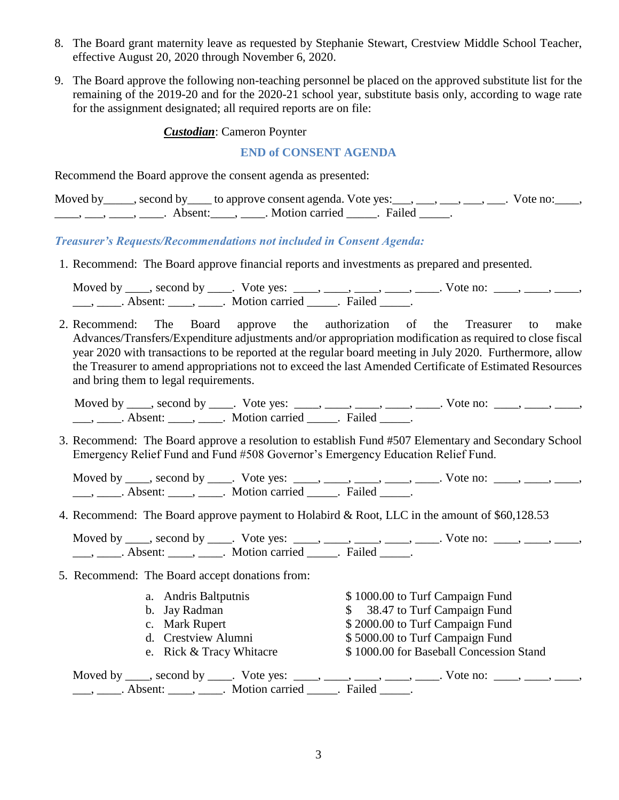- 8. The Board grant maternity leave as requested by Stephanie Stewart, Crestview Middle School Teacher, effective August 20, 2020 through November 6, 2020.
- 9. The Board approve the following non-teaching personnel be placed on the approved substitute list for the remaining of the 2019-20 and for the 2020-21 school year, substitute basis only, according to wage rate for the assignment designated; all required reports are on file:

### *Custodian*: Cameron Poynter

# **END of CONSENT AGENDA**

Recommend the Board approve the consent agenda as presented:

|  | Moved by _____, second by _____ to approve consent agenda. Vote yes: ___, ___, ___, ___, ___. Vote no: |  |  |
|--|--------------------------------------------------------------------------------------------------------|--|--|
|  | Absent: Motion carried . Failed                                                                        |  |  |

*Treasurer's Requests/Recommendations not included in Consent Agenda:*

1. Recommend: The Board approve financial reports and investments as prepared and presented.

Moved by \_\_\_\_, second by \_\_\_\_. Vote yes: \_\_\_\_, \_\_\_\_, \_\_\_\_, \_\_\_\_, \_\_\_\_. Vote no: \_\_\_\_, \_\_\_\_, \_\_\_\_, \_\_\_, \_\_\_\_. Absent: \_\_\_\_, \_\_\_\_. Motion carried \_\_\_\_\_. Failed \_\_\_\_.

2. Recommend: The Board approve the authorization of the Treasurer to make Advances/Transfers/Expenditure adjustments and/or appropriation modification as required to close fiscal year 2020 with transactions to be reported at the regular board meeting in July 2020. Furthermore, allow the Treasurer to amend appropriations not to exceed the last Amended Certificate of Estimated Resources and bring them to legal requirements.

 Moved by \_\_\_\_, second by \_\_\_\_. Vote yes: \_\_\_\_, \_\_\_\_, \_\_\_\_, \_\_\_\_, \_\_\_\_. Vote no: \_\_\_\_, \_\_\_\_, \_\_\_\_, \_\_\_, \_\_\_\_\_. Absent: \_\_\_\_\_, \_\_\_\_\_. Motion carried \_\_\_\_\_\_. Failed \_\_\_\_\_.

3. Recommend: The Board approve a resolution to establish Fund #507 Elementary and Secondary School Emergency Relief Fund and Fund #508 Governor's Emergency Education Relief Fund.

Moved by  $\underline{\hspace{1cm}}$ , second by  $\underline{\hspace{1cm}}$ . Vote yes:  $\underline{\hspace{1cm}}$ ,  $\underline{\hspace{1cm}}$ ,  $\underline{\hspace{1cm}}$ ,  $\underline{\hspace{1cm}}$ ,  $\underline{\hspace{1cm}}$ ,  $\underline{\hspace{1cm}}$ ,  $\underline{\hspace{1cm}}$ . Vote no:  $\underline{\hspace{1cm}}$ ,  $\underline{\hspace{1cm}}$ ,  $\underline{\hspace{1cm}}$ ,  $\underline{\hspace{1cm}}$ , \_\_\_, \_\_\_\_\_. Absent: \_\_\_\_\_, \_\_\_\_\_. Motion carried \_\_\_\_\_\_. Failed \_\_\_\_\_.

4. Recommend: The Board approve payment to Holabird & Root, LLC in the amount of \$60,128.53

Moved by  $\underline{\hspace{1cm}}$ , second by  $\underline{\hspace{1cm}}$ . Vote yes:  $\underline{\hspace{1cm}}$ ,  $\underline{\hspace{1cm}}$ ,  $\underline{\hspace{1cm}}$ ,  $\underline{\hspace{1cm}}$ ,  $\underline{\hspace{1cm}}$ ,  $\underline{\hspace{1cm}}$ ,  $\underline{\hspace{1cm}}$ . Vote no:  $\underline{\hspace{1cm}}$ ,  $\underline{\hspace{1cm}}$ ,  $\underline{\hspace{1cm}}$ ,  $\underline{\hspace{1cm}}$ , \_\_\_, \_\_\_\_\_. Absent: \_\_\_\_\_, \_\_\_\_\_. Motion carried \_\_\_\_\_\_. Failed \_\_\_\_\_.

- 5. Recommend: The Board accept donations from:
	- a. Andris Baltputnis  $$ 1000.00$  to Turf Campaign Fund b. Jay Radman  $\frac{1}{2}$  38.47 to Turf Campaign Fund c. Mark Rupert \$ 2000.00 to Turf Campaign Fund d. Crestview Alumni  $$5000.00$  to Turf Campaign Fund e. Rick & Tracy Whitacre \$ 1000.00 for Baseball Concession Stand

Moved by \_\_\_\_, second by \_\_\_\_. Vote yes: \_\_\_\_, \_\_\_\_, \_\_\_\_, \_\_\_\_, \_\_\_\_, Vote no: \_\_\_\_, \_\_\_\_, \_\_\_\_, \_\_\_, \_\_\_\_. Absent: \_\_\_\_, \_\_\_\_. Motion carried \_\_\_\_\_. Failed \_\_\_\_\_.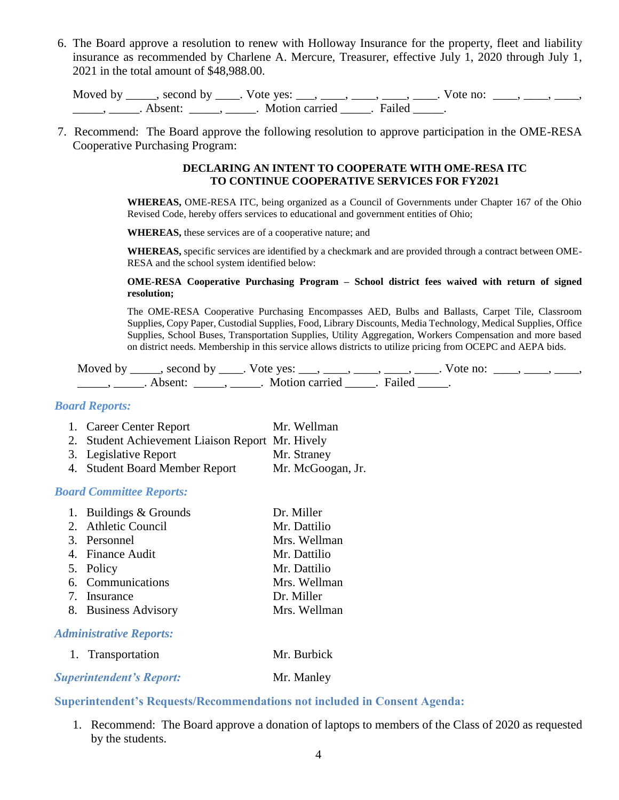6. The Board approve a resolution to renew with Holloway Insurance for the property, fleet and liability insurance as recommended by Charlene A. Mercure, Treasurer, effective July 1, 2020 through July 1, 2021 in the total amount of \$48,988.00.

Moved by \_\_\_\_, second by \_\_\_\_. Vote yes: \_\_\_, \_\_\_\_, \_\_\_\_, \_\_\_\_, \_\_\_. Vote no:  $\_\_\_\_\_\_\_$ \_\_\_\_\_\_, \_\_\_\_\_\_. Absent: \_\_\_\_\_\_, \_\_\_\_\_\_. Motion carried \_\_\_\_\_\_. Failed \_\_\_\_\_.

7. Recommend: The Board approve the following resolution to approve participation in the OME-RESA Cooperative Purchasing Program:

#### **DECLARING AN INTENT TO COOPERATE WITH OME-RESA ITC TO CONTINUE COOPERATIVE SERVICES FOR FY2021**

**WHEREAS,** OME-RESA ITC, being organized as a Council of Governments under Chapter 167 of the Ohio Revised Code, hereby offers services to educational and government entities of Ohio;

**WHEREAS,** these services are of a cooperative nature; and

**WHEREAS,** specific services are identified by a checkmark and are provided through a contract between OME-RESA and the school system identified below:

#### **OME-RESA Cooperative Purchasing Program – School district fees waived with return of signed resolution;**

The OME-RESA Cooperative Purchasing Encompasses AED, Bulbs and Ballasts, Carpet Tile, Classroom Supplies, Copy Paper, Custodial Supplies, Food, Library Discounts, Media Technology, Medical Supplies, Office Supplies, School Buses, Transportation Supplies, Utility Aggregation, Workers Compensation and more based on district needs. Membership in this service allows districts to utilize pricing from OCEPC and AEPA bids.

Moved by \_\_\_\_, second by \_\_\_\_. Vote yes: \_\_\_, \_\_\_\_, \_\_\_\_, \_\_\_\_, \_\_\_\_. Vote no: \_\_\_\_, \_\_\_\_, \_\_\_\_, \_\_\_\_\_\_\_, \_\_\_\_\_\_. Absent: \_\_\_\_\_\_, \_\_\_\_\_\_. Motion carried \_\_\_\_\_\_. Failed \_\_\_\_\_\_.

# *Board Reports:*

- 1. Career Center Report Mr. Wellman
- 2. Student Achievement Liaison Report Mr. Hively
- 3. Legislative Report Mr. Straney
- 4. Student Board Member Report Mr. McGoogan, Jr.

# *Board Committee Reports:*

| 1. Buildings & Grounds         | Dr. Miller   |
|--------------------------------|--------------|
| 2. Athletic Council            | Mr. Dattilio |
| 3. Personnel                   | Mrs. Wellman |
| 4. Finance Audit               | Mr. Dattilio |
| 5. Policy                      | Mr. Dattilio |
| 6. Communications              | Mrs. Wellman |
| 7. Insurance                   | Dr. Miller   |
| 8. Business Advisory           | Mrs. Wellman |
| <b>Administrative Reports:</b> |              |

# 1. Transportation Mr. Burbick

# **Superintendent's Report:** Mr. Manley

# **Superintendent's Requests/Recommendations not included in Consent Agenda:**

1. Recommend: The Board approve a donation of laptops to members of the Class of 2020 as requested by the students.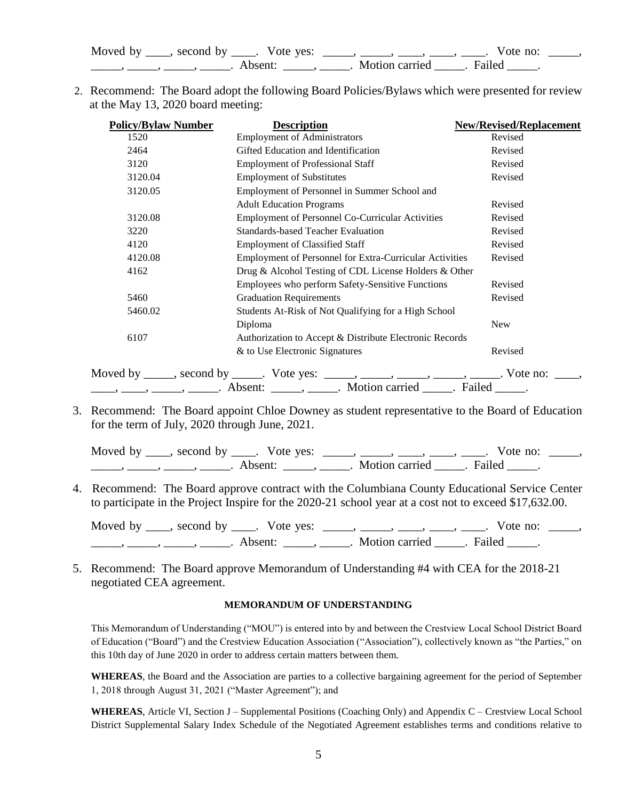| Moved by | second by | Vote yes: |                |        | Vote no: |  |
|----------|-----------|-----------|----------------|--------|----------|--|
|          |           | Absent:   | Motion carried | Failed |          |  |

2. Recommend: The Board adopt the following Board Policies/Bylaws which were presented for review at the May 13, 2020 board meeting:

| <b>Policy/Bylaw Number</b> | <b>Description</b>                                                                                                                                                       | <b>New/Revised/Replacement</b> |
|----------------------------|--------------------------------------------------------------------------------------------------------------------------------------------------------------------------|--------------------------------|
| 1520                       | <b>Employment of Administrators</b>                                                                                                                                      | Revised                        |
| 2464                       | Gifted Education and Identification                                                                                                                                      | Revised                        |
| 3120                       | <b>Employment of Professional Staff</b>                                                                                                                                  | Revised                        |
| 3120.04                    | <b>Employment of Substitutes</b>                                                                                                                                         | Revised                        |
| 3120.05                    | Employment of Personnel in Summer School and                                                                                                                             |                                |
|                            | <b>Adult Education Programs</b>                                                                                                                                          | Revised                        |
| 3120.08                    | <b>Employment of Personnel Co-Curricular Activities</b>                                                                                                                  | Revised                        |
| 3220                       | <b>Standards-based Teacher Evaluation</b>                                                                                                                                | Revised                        |
| 4120                       | <b>Employment of Classified Staff</b>                                                                                                                                    | Revised                        |
| 4120.08                    | Employment of Personnel for Extra-Curricular Activities                                                                                                                  | Revised                        |
| 4162                       | Drug & Alcohol Testing of CDL License Holders & Other                                                                                                                    |                                |
|                            | Employees who perform Safety-Sensitive Functions                                                                                                                         | Revised                        |
| 5460                       | <b>Graduation Requirements</b>                                                                                                                                           | Revised                        |
| 5460.02                    | Students At-Risk of Not Qualifying for a High School                                                                                                                     |                                |
|                            | Diploma                                                                                                                                                                  | <b>New</b>                     |
| 6107                       | Authorization to Accept & Distribute Electronic Records                                                                                                                  |                                |
|                            | & to Use Electronic Signatures                                                                                                                                           | Revised                        |
|                            |                                                                                                                                                                          |                                |
|                            | Moved by _____, second by _____. Vote yes: _____, _____, _____, _____, ______. Vote no:<br>____, _____, _____, Absent: _____, _____. Motion carried _____. Failed _____. |                                |

3. Recommend: The Board appoint Chloe Downey as student representative to the Board of Education for the term of July, 2020 through June, 2021.

Moved by  $\_\_\_\_$ , second by  $\_\_\_\_$ . Vote yes:  $\_\_\_\_\_\_\_\_\_\_\_\_\_\_\_\_\_\_\_\_$   $\_\_\_\_\_\_\_\_\_\_\_\_\_$  Vote no:  $\_\_\_\_\_\$ \_\_\_\_\_\_\_, \_\_\_\_\_\_, \_\_\_\_\_\_\_. Absent: \_\_\_\_\_\_, \_\_\_\_\_\_. Motion carried \_\_\_\_\_\_. Failed \_\_\_\_\_.

4. Recommend: The Board approve contract with the Columbiana County Educational Service Center to participate in the Project Inspire for the 2020-21 school year at a cost not to exceed \$17,632.00.

Moved by  $\_\_\_\_$ , second by  $\_\_\_\_$ . Vote yes:  $\_\_\_\_\_\_\_\_\_\_\_\_\_\_$ ,  $\_\_\_\_\_\_\_\_\_\_\_\_\_\_\_\_$ . Vote no:  $\_\_\_\_\_\_\$  $\frac{1}{\sqrt{2}}$  and  $\frac{1}{\sqrt{2}}$  and  $\frac{1}{\sqrt{2}}$  and  $\frac{1}{\sqrt{2}}$  and  $\frac{1}{\sqrt{2}}$  and  $\frac{1}{\sqrt{2}}$  and  $\frac{1}{\sqrt{2}}$  and  $\frac{1}{\sqrt{2}}$  and  $\frac{1}{\sqrt{2}}$  and  $\frac{1}{\sqrt{2}}$  and  $\frac{1}{\sqrt{2}}$  and  $\frac{1}{\sqrt{2}}$  and  $\frac{1}{\sqrt{2}}$  and

5. Recommend: The Board approve Memorandum of Understanding #4 with CEA for the 2018-21 negotiated CEA agreement.

#### **MEMORANDUM OF UNDERSTANDING**

This Memorandum of Understanding ("MOU") is entered into by and between the Crestview Local School District Board of Education ("Board") and the Crestview Education Association ("Association"), collectively known as "the Parties," on this 10th day of June 2020 in order to address certain matters between them.

**WHEREAS**, the Board and the Association are parties to a collective bargaining agreement for the period of September 1, 2018 through August 31, 2021 ("Master Agreement"); and

WHEREAS, Article VI, Section J – Supplemental Positions (Coaching Only) and Appendix C – Crestview Local School District Supplemental Salary Index Schedule of the Negotiated Agreement establishes terms and conditions relative to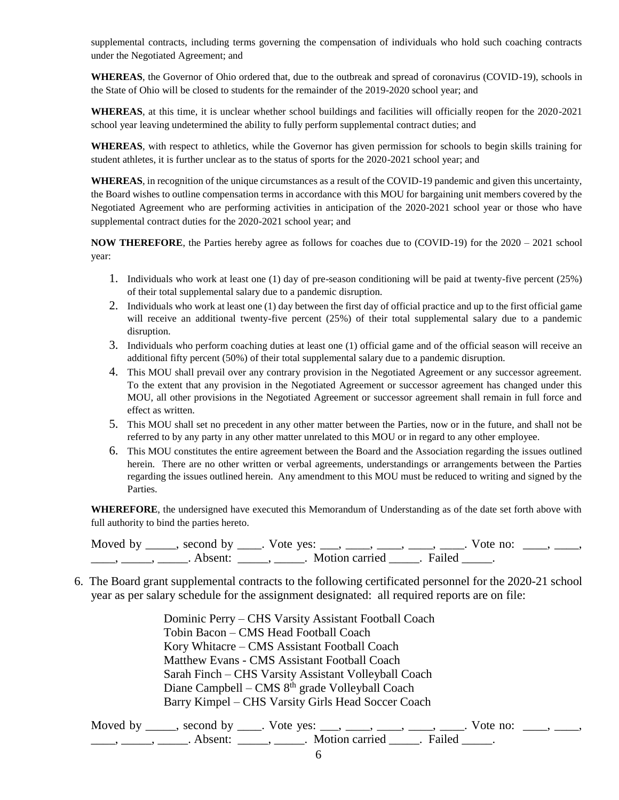supplemental contracts, including terms governing the compensation of individuals who hold such coaching contracts under the Negotiated Agreement; and

**WHEREAS**, the Governor of Ohio ordered that, due to the outbreak and spread of coronavirus (COVID-19), schools in the State of Ohio will be closed to students for the remainder of the 2019-2020 school year; and

**WHEREAS**, at this time, it is unclear whether school buildings and facilities will officially reopen for the 2020-2021 school year leaving undetermined the ability to fully perform supplemental contract duties; and

**WHEREAS**, with respect to athletics, while the Governor has given permission for schools to begin skills training for student athletes, it is further unclear as to the status of sports for the 2020-2021 school year; and

**WHEREAS**, in recognition of the unique circumstances as a result of the COVID-19 pandemic and given this uncertainty, the Board wishes to outline compensation terms in accordance with this MOU for bargaining unit members covered by the Negotiated Agreement who are performing activities in anticipation of the 2020-2021 school year or those who have supplemental contract duties for the 2020-2021 school year; and

**NOW THEREFORE**, the Parties hereby agree as follows for coaches due to (COVID-19) for the 2020 – 2021 school year:

- 1. Individuals who work at least one (1) day of pre-season conditioning will be paid at twenty-five percent (25%) of their total supplemental salary due to a pandemic disruption.
- 2. Individuals who work at least one (1) day between the first day of official practice and up to the first official game will receive an additional twenty-five percent (25%) of their total supplemental salary due to a pandemic disruption.
- 3. Individuals who perform coaching duties at least one (1) official game and of the official season will receive an additional fifty percent (50%) of their total supplemental salary due to a pandemic disruption.
- 4. This MOU shall prevail over any contrary provision in the Negotiated Agreement or any successor agreement. To the extent that any provision in the Negotiated Agreement or successor agreement has changed under this MOU, all other provisions in the Negotiated Agreement or successor agreement shall remain in full force and effect as written.
- 5. This MOU shall set no precedent in any other matter between the Parties, now or in the future, and shall not be referred to by any party in any other matter unrelated to this MOU or in regard to any other employee.
- 6. This MOU constitutes the entire agreement between the Board and the Association regarding the issues outlined herein. There are no other written or verbal agreements, understandings or arrangements between the Parties regarding the issues outlined herein. Any amendment to this MOU must be reduced to writing and signed by the Parties.

**WHEREFORE**, the undersigned have executed this Memorandum of Understanding as of the date set forth above with full authority to bind the parties hereto.

Moved by \_\_\_\_, second by \_\_\_\_. Vote yes: \_\_\_, \_\_\_\_, \_\_\_\_, \_\_\_\_, \_\_\_. Vote no: \_\_\_, \_\_\_, \_\_\_\_\_, \_\_\_\_\_\_, Absent: \_\_\_\_\_, \_\_\_\_\_. Motion carried \_\_\_\_\_. Failed \_\_\_\_\_.

6. The Board grant supplemental contracts to the following certificated personnel for the 2020-21 school year as per salary schedule for the assignment designated: all required reports are on file:

> Dominic Perry – CHS Varsity Assistant Football Coach Tobin Bacon – CMS Head Football Coach Kory Whitacre – CMS Assistant Football Coach Matthew Evans - CMS Assistant Football Coach Sarah Finch – CHS Varsity Assistant Volleyball Coach Diane Campbell – CMS 8<sup>th</sup> grade Volleyball Coach Barry Kimpel – CHS Varsity Girls Head Soccer Coach

Moved by \_\_\_\_, second by \_\_\_\_. Vote yes: \_\_\_, \_\_\_\_, \_\_\_\_, \_\_\_\_, \_\_\_. Vote no: \_\_\_, \_\_\_, \_\_\_\_\_, \_\_\_\_\_\_, Absent: \_\_\_\_\_, \_\_\_\_\_. Motion carried \_\_\_\_\_. Failed \_\_\_\_\_.